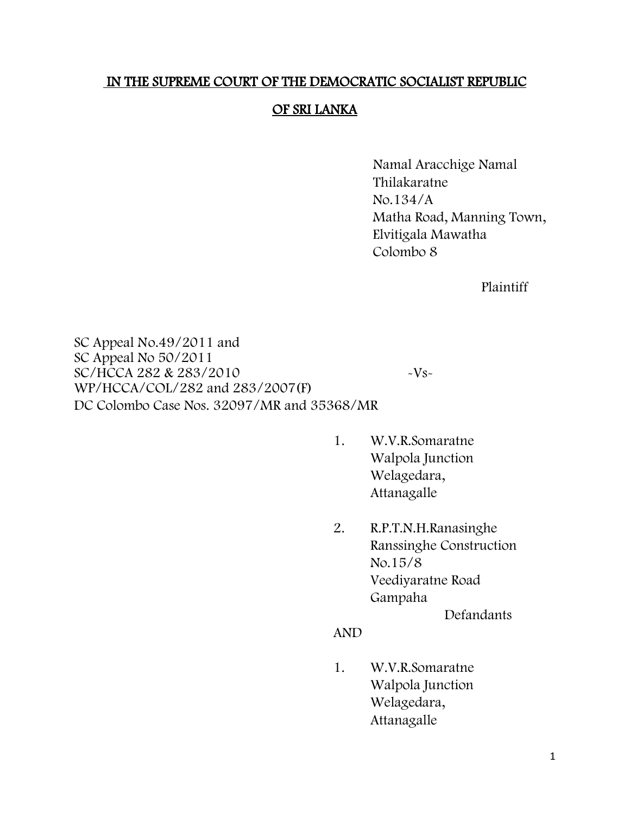# IN THE SUPREME COURT OF THE DEMOCRATIC SOCIALIST REPUBLIC

# OF SRI LANKA

Namal Aracchige Namal Thilakaratne No.134/A Matha Road, Manning Town, Elvitigala Mawatha Colombo 8

Plaintiff

SC Appeal No.49/2011 and SC Appeal No 50/2011 SC/HCCA 282 & 283/2010 - Vs-WP/HCCA/COL/282 and 283/2007(F) DC Colombo Case Nos. 32097/MR and 35368/MR

- 1. W.V.R.Somaratne Walpola Junction Welagedara, Attanagalle
- 2. R.P.T.N.H.Ranasinghe Ranssinghe Construction No.15/8 Veediyaratne Road Gampaha

Defandants

#### AND

1. W.V.R.Somaratne Walpola Junction Welagedara, Attanagalle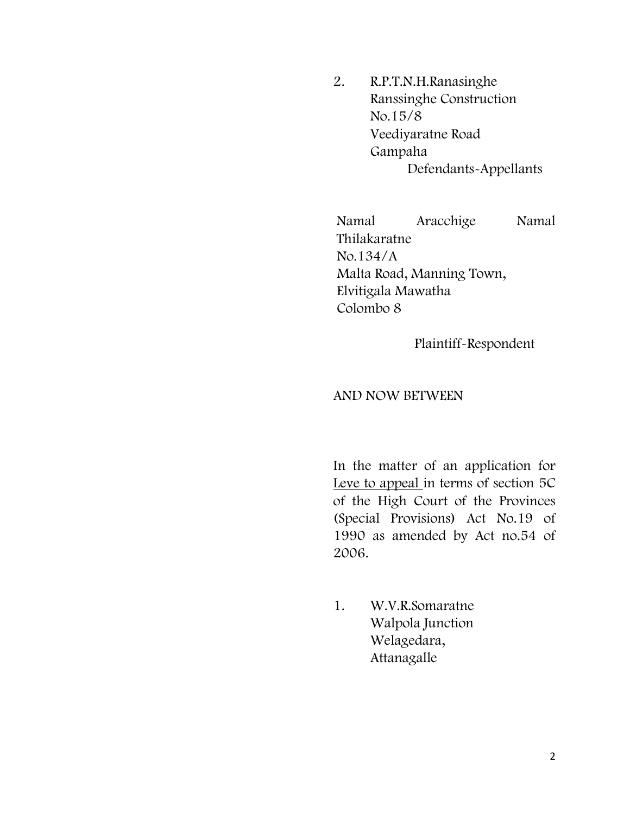2. R.P.T.N.H.Ranasinghe Ranssinghe Construction No.15/8 Veediyaratne Road Gampaha Defendants-Appellants

Namal Aracchige Namal Thilakaratne No.134/A Malta Road, Manning Town, Elvitigala Mawatha Colombo 8

Plaintiff-Respondent

## AND NOW BETWEEN

In the matter of an application for Leve to appeal in terms of section 5C of the High Court of the Provinces (Special Provisions) Act No.19 of 1990 as amended by Act no.54 of 2006.

1. W.V.R.Somaratne Walpola Junction Welagedara, Attanagalle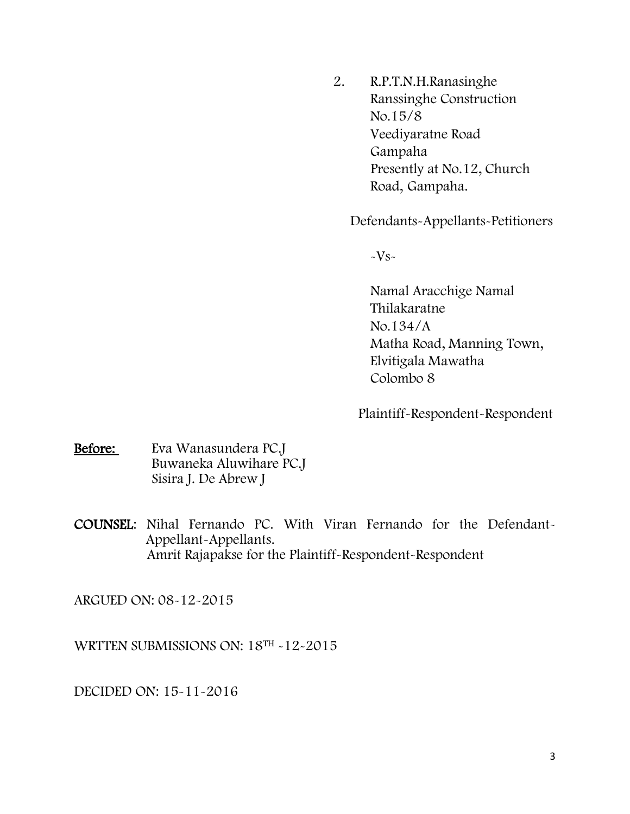2. R.P.T.N.H.Ranasinghe Ranssinghe Construction No.15/8 Veediyaratne Road Gampaha Presently at No.12, Church Road, Gampaha.

Defendants-Appellants-Petitioners

 $-Vs-$ 

Namal Aracchige Namal Thilakaratne No.134/A Matha Road, Manning Town, Elvitigala Mawatha Colombo 8

Plaintiff-Respondent-Respondent

Before: Eva Wanasundera PC.J Buwaneka Aluwihare PC.J Sisira J. De Abrew J

COUNSEL: Nihal Fernando PC. With Viran Fernando for the Defendant- Appellant-Appellants. Amrit Rajapakse for the Plaintiff-Respondent-Respondent

ARGUED ON: 08-12-2015

WRTTEN SUBMISSIONS ON: 18TH -12-2015

DECIDED ON: 15-11-2016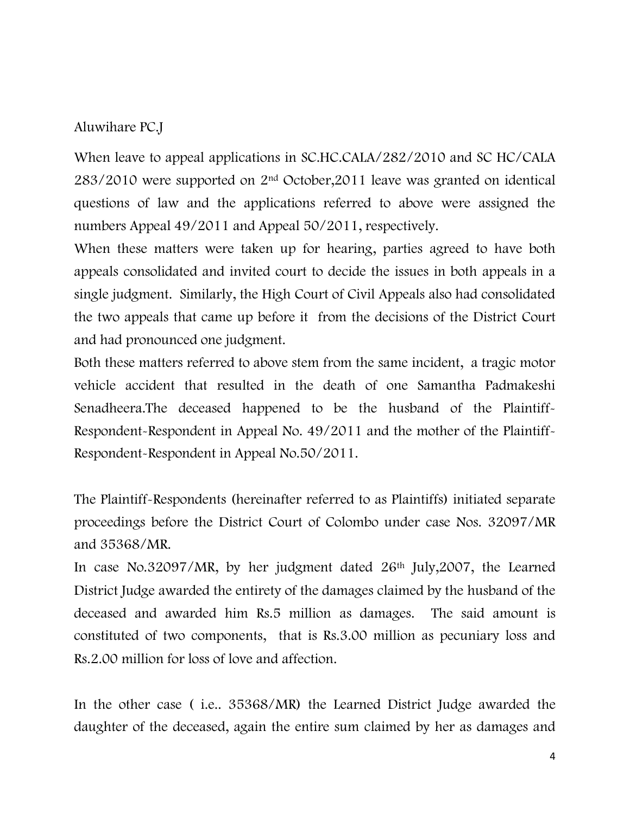## Aluwihare PC.J

When leave to appeal applications in SC.HC.CALA/282/2010 and SC HC/CALA 283/2010 were supported on 2nd October,2011 leave was granted on identical questions of law and the applications referred to above were assigned the numbers Appeal 49/2011 and Appeal 50/2011, respectively.

When these matters were taken up for hearing, parties agreed to have both appeals consolidated and invited court to decide the issues in both appeals in a single judgment. Similarly, the High Court of Civil Appeals also had consolidated the two appeals that came up before it from the decisions of the District Court and had pronounced one judgment.

Both these matters referred to above stem from the same incident, a tragic motor vehicle accident that resulted in the death of one Samantha Padmakeshi Senadheera.The deceased happened to be the husband of the Plaintiff-Respondent-Respondent in Appeal No. 49/2011 and the mother of the Plaintiff-Respondent-Respondent in Appeal No.50/2011.

The Plaintiff-Respondents (hereinafter referred to as Plaintiffs) initiated separate proceedings before the District Court of Colombo under case Nos. 32097/MR and 35368/MR.

In case No.32097/MR, by her judgment dated 26th July,2007, the Learned District Judge awarded the entirety of the damages claimed by the husband of the deceased and awarded him Rs.5 million as damages. The said amount is constituted of two components, that is Rs.3.00 million as pecuniary loss and Rs.2.00 million for loss of love and affection.

In the other case ( i.e.. 35368/MR) the Learned District Judge awarded the daughter of the deceased, again the entire sum claimed by her as damages and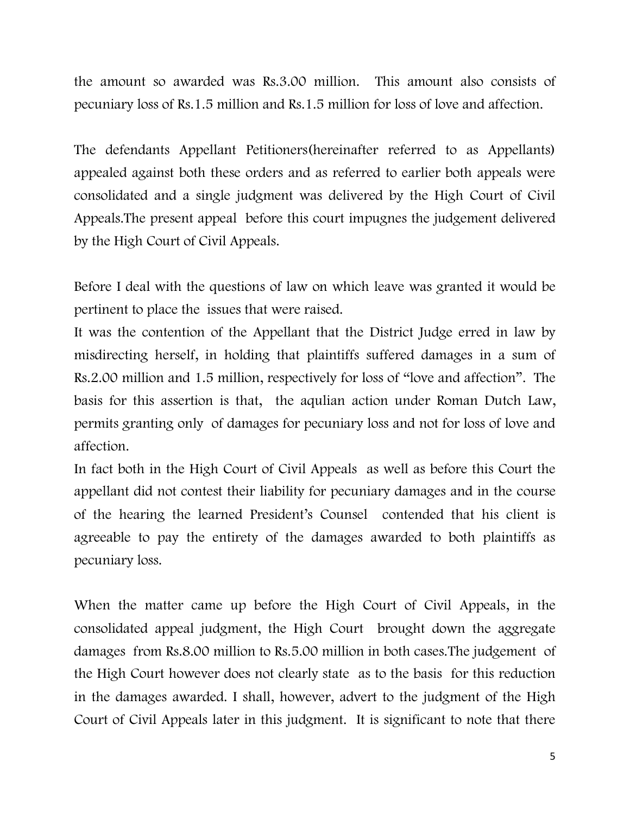the amount so awarded was Rs.3.00 million. This amount also consists of pecuniary loss of Rs.1.5 million and Rs.1.5 million for loss of love and affection.

The defendants Appellant Petitioners(hereinafter referred to as Appellants) appealed against both these orders and as referred to earlier both appeals were consolidated and a single judgment was delivered by the High Court of Civil Appeals.The present appeal before this court impugnes the judgement delivered by the High Court of Civil Appeals.

Before I deal with the questions of law on which leave was granted it would be pertinent to place the issues that were raised.

It was the contention of the Appellant that the District Judge erred in law by misdirecting herself, in holding that plaintiffs suffered damages in a sum of Rs.2.00 million and 1.5 million, respectively for loss of "love and affection". The basis for this assertion is that, the aqulian action under Roman Dutch Law, permits granting only of damages for pecuniary loss and not for loss of love and affection.

In fact both in the High Court of Civil Appeals as well as before this Court the appellant did not contest their liability for pecuniary damages and in the course of the hearing the learned President's Counsel contended that his client is agreeable to pay the entirety of the damages awarded to both plaintiffs as pecuniary loss.

When the matter came up before the High Court of Civil Appeals, in the consolidated appeal judgment, the High Court brought down the aggregate damages from Rs.8.00 million to Rs.5.00 million in both cases.The judgement of the High Court however does not clearly state as to the basis for this reduction in the damages awarded. I shall, however, advert to the judgment of the High Court of Civil Appeals later in this judgment. It is significant to note that there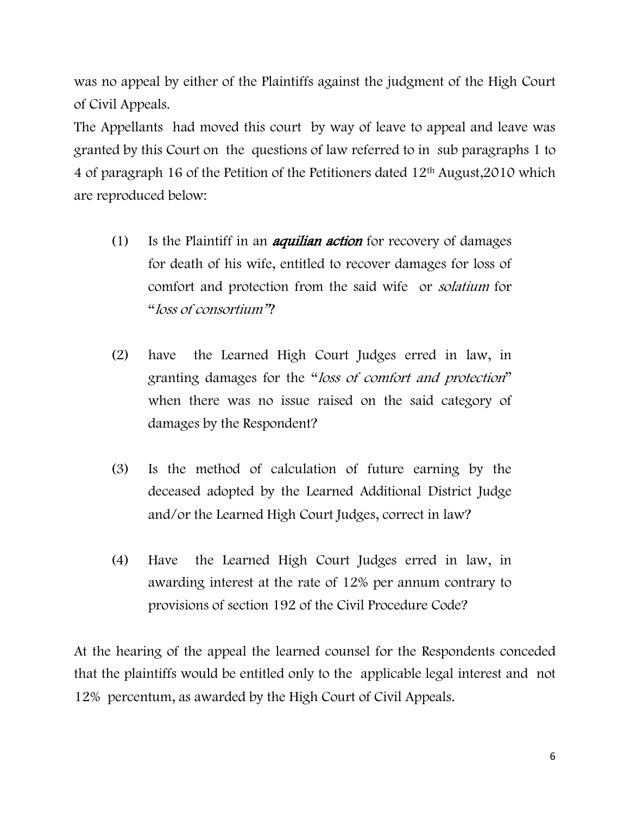was no appeal by either of the Plaintiffs against the judgment of the High Court of Civil Appeals.

The Appellants had moved this court by way of leave to appeal and leave was granted by this Court on the questions of law referred to in sub paragraphs 1 to 4 of paragraph 16 of the Petition of the Petitioners dated 12th August,2010 which are reproduced below:

- (1) Is the Plaintiff in an *aquilian action* for recovery of damages for death of his wife, entitled to recover damages for loss of comfort and protection from the said wife or solatium for "loss of consortium"?
- (2) have the Learned High Court Judges erred in law, in granting damages for the "loss of comfort and protection" when there was no issue raised on the said category of damages by the Respondent?
- (3) Is the method of calculation of future earning by the deceased adopted by the Learned Additional District Judge and/or the Learned High Court Judges, correct in law?
- (4) Have the Learned High Court Judges erred in law, in awarding interest at the rate of 12% per annum contrary to provisions of section 192 of the Civil Procedure Code?

At the hearing of the appeal the learned counsel for the Respondents conceded that the plaintiffs would be entitled only to the applicable legal interest and not 12% percentum, as awarded by the High Court of Civil Appeals.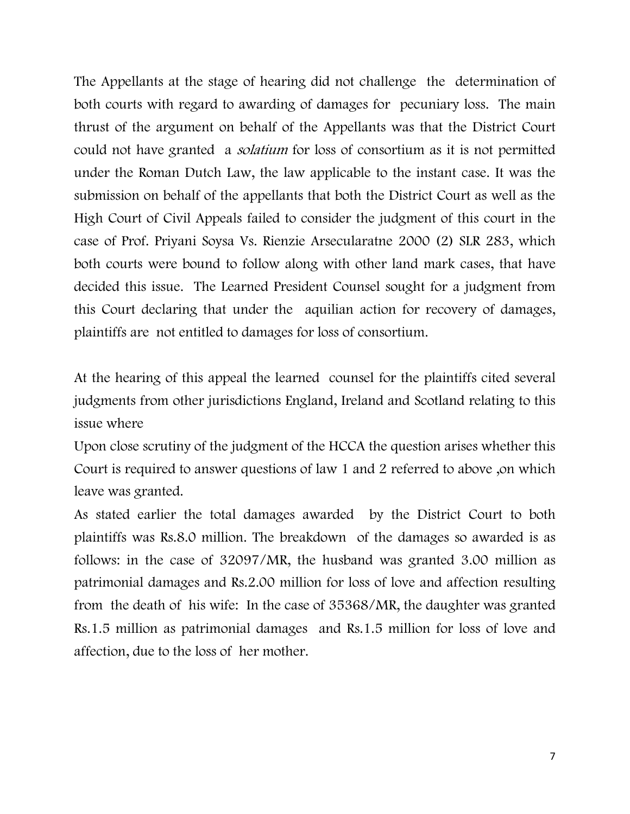The Appellants at the stage of hearing did not challenge the determination of both courts with regard to awarding of damages for pecuniary loss. The main thrust of the argument on behalf of the Appellants was that the District Court could not have granted a solatium for loss of consortium as it is not permitted under the Roman Dutch Law, the law applicable to the instant case. It was the submission on behalf of the appellants that both the District Court as well as the High Court of Civil Appeals failed to consider the judgment of this court in the case of Prof. Priyani Soysa Vs. Rienzie Arsecularatne 2000 (2) SLR 283, which both courts were bound to follow along with other land mark cases, that have decided this issue. The Learned President Counsel sought for a judgment from this Court declaring that under the aquilian action for recovery of damages, plaintiffs are not entitled to damages for loss of consortium.

At the hearing of this appeal the learned counsel for the plaintiffs cited several judgments from other jurisdictions England, Ireland and Scotland relating to this issue where

Upon close scrutiny of the judgment of the HCCA the question arises whether this Court is required to answer questions of law 1 and 2 referred to above ,on which leave was granted.

As stated earlier the total damages awarded by the District Court to both plaintiffs was Rs.8.0 million. The breakdown of the damages so awarded is as follows: in the case of 32097/MR, the husband was granted 3.00 million as patrimonial damages and Rs.2.00 million for loss of love and affection resulting from the death of his wife: In the case of 35368/MR, the daughter was granted Rs.1.5 million as patrimonial damages and Rs.1.5 million for loss of love and affection, due to the loss of her mother.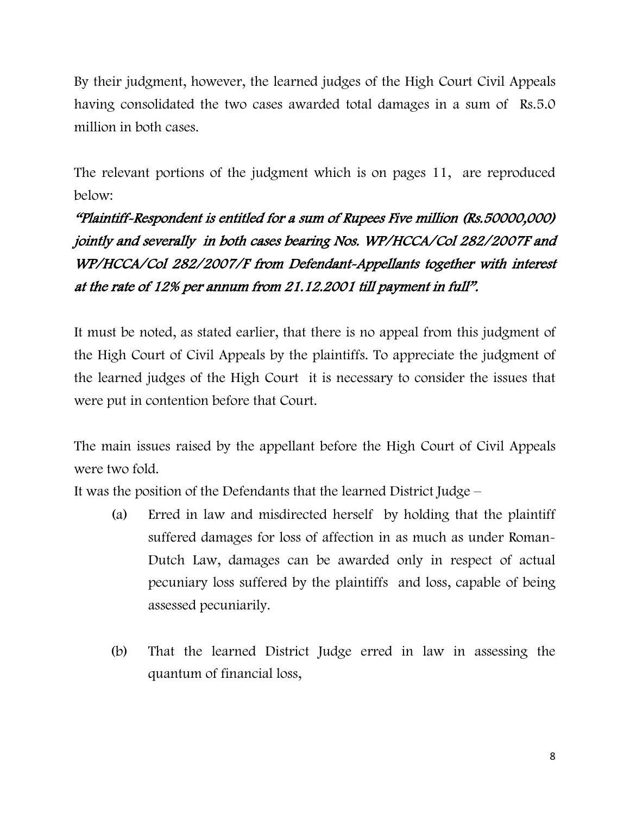By their judgment, however, the learned judges of the High Court Civil Appeals having consolidated the two cases awarded total damages in a sum of Rs.5.0 million in both cases.

The relevant portions of the judgment which is on pages 11, are reproduced below:

"Plaintiff-Respondent is entitled for a sum of Rupees Five million (Rs.50000,000) jointly and severally in both cases bearing Nos. WP/HCCA/Col 282/2007F and WP/HCCA/Col 282/2007/F from Defendant-Appellants together with interest at the rate of 12% per annum from 21.12.2001 till payment in full".

It must be noted, as stated earlier, that there is no appeal from this judgment of the High Court of Civil Appeals by the plaintiffs. To appreciate the judgment of the learned judges of the High Court it is necessary to consider the issues that were put in contention before that Court.

The main issues raised by the appellant before the High Court of Civil Appeals were two fold.

It was the position of the Defendants that the learned District Judge –

- (a) Erred in law and misdirected herself by holding that the plaintiff suffered damages for loss of affection in as much as under Roman-Dutch Law, damages can be awarded only in respect of actual pecuniary loss suffered by the plaintiffs and loss, capable of being assessed pecuniarily.
- (b) That the learned District Judge erred in law in assessing the quantum of financial loss,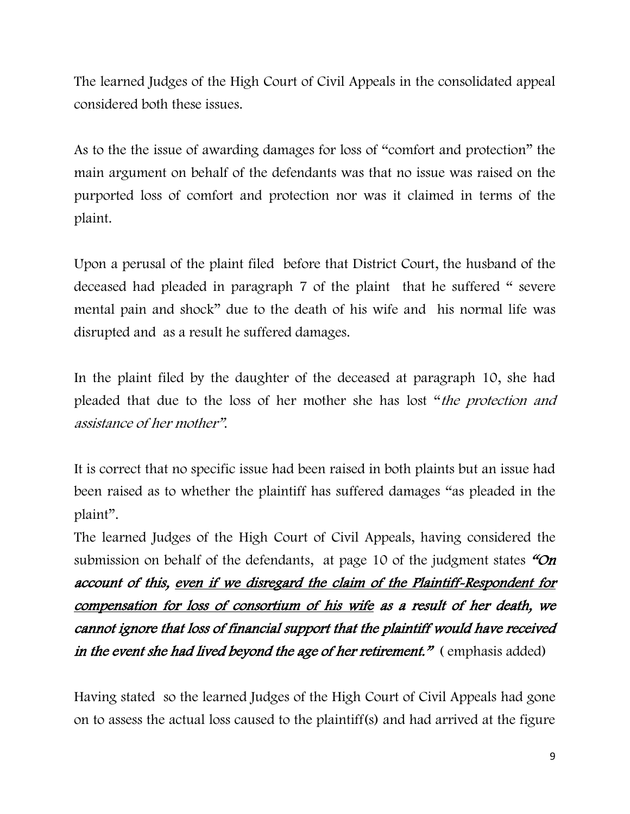The learned Judges of the High Court of Civil Appeals in the consolidated appeal considered both these issues.

As to the the issue of awarding damages for loss of "comfort and protection" the main argument on behalf of the defendants was that no issue was raised on the purported loss of comfort and protection nor was it claimed in terms of the plaint.

Upon a perusal of the plaint filed before that District Court, the husband of the deceased had pleaded in paragraph 7 of the plaint that he suffered " severe mental pain and shock" due to the death of his wife and his normal life was disrupted and as a result he suffered damages.

In the plaint filed by the daughter of the deceased at paragraph 10, she had pleaded that due to the loss of her mother she has lost "the protection and assistance of her mother".

It is correct that no specific issue had been raised in both plaints but an issue had been raised as to whether the plaintiff has suffered damages "as pleaded in the plaint".

The learned Judges of the High Court of Civil Appeals, having considered the submission on behalf of the defendants, at page 10 of the judgment states  $\mathcal{O}_n$ account of this, even if we disregard the claim of the Plaintiff-Respondent for compensation for loss of consortium of his wife as a result of her death, we cannot ignore that loss of financial support that the plaintiff would have received in the event she had lived beyond the age of her retirement."  $($  emphasis added)

Having stated so the learned Judges of the High Court of Civil Appeals had gone on to assess the actual loss caused to the plaintiff(s) and had arrived at the figure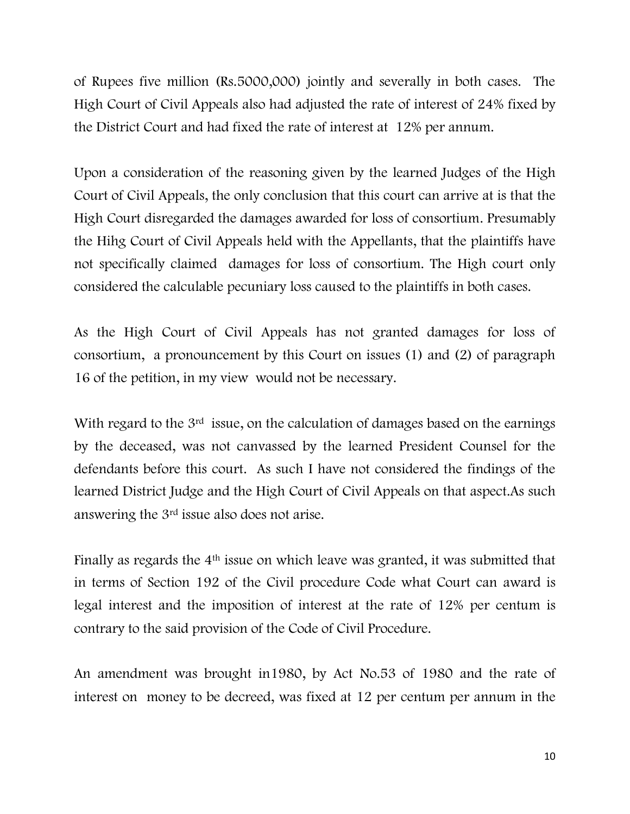of Rupees five million (Rs.5000,000) jointly and severally in both cases. The High Court of Civil Appeals also had adjusted the rate of interest of 24% fixed by the District Court and had fixed the rate of interest at 12% per annum.

Upon a consideration of the reasoning given by the learned Judges of the High Court of Civil Appeals, the only conclusion that this court can arrive at is that the High Court disregarded the damages awarded for loss of consortium. Presumably the Hihg Court of Civil Appeals held with the Appellants, that the plaintiffs have not specifically claimed damages for loss of consortium. The High court only considered the calculable pecuniary loss caused to the plaintiffs in both cases.

As the High Court of Civil Appeals has not granted damages for loss of consortium, a pronouncement by this Court on issues (1) and (2) of paragraph 16 of the petition, in my view would not be necessary.

With regard to the 3<sup>rd</sup> issue, on the calculation of damages based on the earnings by the deceased, was not canvassed by the learned President Counsel for the defendants before this court. As such I have not considered the findings of the learned District Judge and the High Court of Civil Appeals on that aspect.As such answering the 3rd issue also does not arise.

Finally as regards the 4th issue on which leave was granted, it was submitted that in terms of Section 192 of the Civil procedure Code what Court can award is legal interest and the imposition of interest at the rate of 12% per centum is contrary to the said provision of the Code of Civil Procedure.

An amendment was brought in1980, by Act No.53 of 1980 and the rate of interest on money to be decreed, was fixed at 12 per centum per annum in the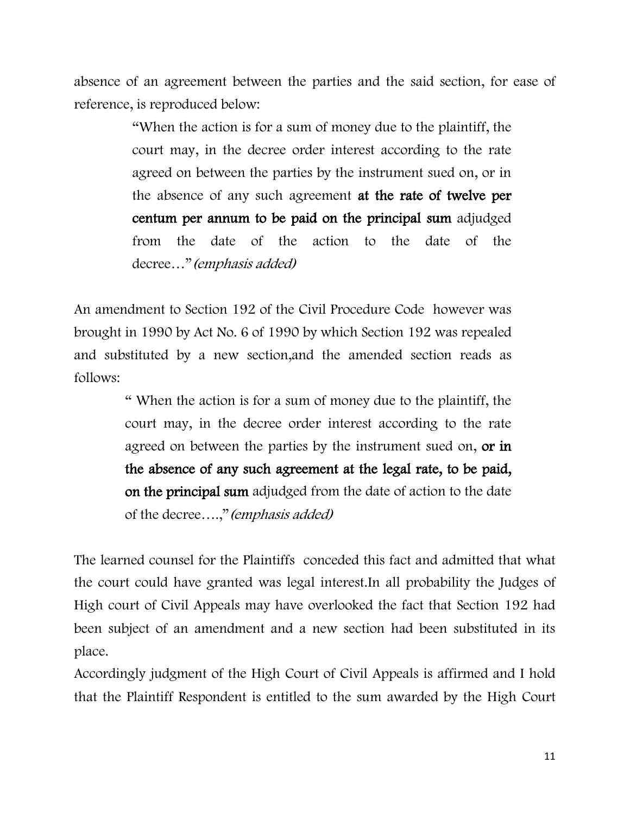absence of an agreement between the parties and the said section, for ease of reference, is reproduced below:

> "When the action is for a sum of money due to the plaintiff, the court may, in the decree order interest according to the rate agreed on between the parties by the instrument sued on, or in the absence of any such agreement at the rate of twelve per centum per annum to be paid on the principal sum adjudged from the date of the action to the date of the decree…"(emphasis added)

An amendment to Section 192 of the Civil Procedure Code however was brought in 1990 by Act No. 6 of 1990 by which Section 192 was repealed and substituted by a new section,and the amended section reads as follows:

> " When the action is for a sum of money due to the plaintiff, the court may, in the decree order interest according to the rate agreed on between the parties by the instrument sued on, or in the absence of any such agreement at the legal rate, to be paid, on the principal sum adjudged from the date of action to the date of the decree....," (emphasis added)

The learned counsel for the Plaintiffs conceded this fact and admitted that what the court could have granted was legal interest.In all probability the Judges of High court of Civil Appeals may have overlooked the fact that Section 192 had been subject of an amendment and a new section had been substituted in its place.

Accordingly judgment of the High Court of Civil Appeals is affirmed and I hold that the Plaintiff Respondent is entitled to the sum awarded by the High Court